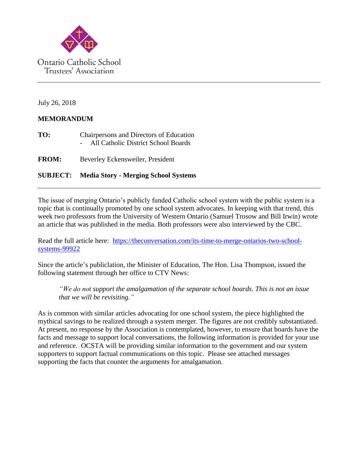

July 26, 2018

## **MEMORANDUM**

| TO: | Chairpersons and Directors of Education |
|-----|-----------------------------------------|
|     | All Catholic District School Boards     |

**FROM:** Beverley Eckensweiler, President

## **SUBJECT: Media Story - Merging School Systems**

The issue of merging Ontario's publicly funded Catholic school system with the public system is a topic that is continually promoted by one school system advocates. In keeping with that trend, this week two professors from the University of Western Ontario (Samuel Trosow and Bill Irwin) wrote an article that was published in the media. Both professors were also interviewed by the CBC.

Read the full article here: [https://theconversation.com/its-time-to-merge-ontarios-two-school](https://theconversation.com/its-time-to-merge-ontarios-two-school-systems-99922)[systems-99922](https://theconversation.com/its-time-to-merge-ontarios-two-school-systems-99922)

Since the article's publiclation, the Minister of Education, The Hon. Lisa Thompson, issued the following statement through her office to CTV News:

*"We do not support the amalgamation of the separate school boards. This is not an issue that we will be revisiting."*

As is common with similar articles advocating for one school system, the piece highlighted the mythical savings to be realized through a system merger. The figures are not credibly substantiated. At present, no response by the Association is contemplated, however, to ensure that boards have the facts and message to support local conversations, the following information is provided for your use and reference. OCSTA will be providing similar information to the government and our system supporters to support factual communications on this topic. Please see attached messages supporting the facts that counter the arguments for amalgamation.